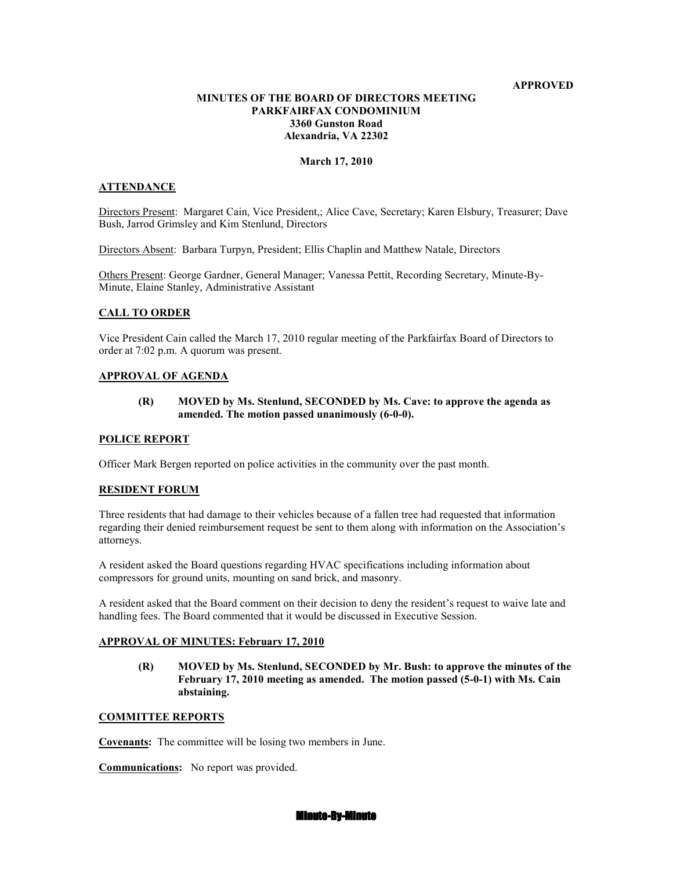### **APPROVED**

# **MIUTES OF THE BOARD OF DIRECTORS MEETIG PARKFAIRFAX CONDOMINIUM 3360 Gunston Road Alexandria, VA 22302**

### **March 17, 2010**

# **ATTENDANCE**

Directors Present: Margaret Cain, Vice President,; Alice Cave, Secretary; Karen Elsbury, Treasurer; Dave Bush, Jarrod Grimsley and Kim Stenlund, Directors

Directors Absent: Barbara Turpyn, President; Ellis Chaplin and Matthew Natale, Directors

Others Present: George Gardner, General Manager; Vanessa Pettit, Recording Secretary, Minute-By-Minute, Elaine Stanley, Administrative Assistant

### **CALL TO ORDER**

Vice President Cain called the March 17, 2010 regular meeting of the Parkfairfax Board of Directors to order at 7:02 p.m. A quorum was present.

### **APPROVAL OF AGENDA**

## **(R) MOVED by Ms. Stenlund, SECODED by Ms. Cave: to approve the agenda as amended. The motion passed unanimously (6-0-0).**

#### **POLICE REPORT**

Officer Mark Bergen reported on police activities in the community over the past month.

#### **RESIDENT FORUM**

Three residents that had damage to their vehicles because of a fallen tree had requested that information regarding their denied reimbursement request be sent to them along with information on the Association's attorneys.

A resident asked the Board questions regarding HVAC specifications including information about compressors for ground units, mounting on sand brick, and masonry.

A resident asked that the Board comment on their decision to deny the resident's request to waive late and handling fees. The Board commented that it would be discussed in Executive Session.

## **APPROVAL OF MINUTES: February 17, 2010**

 **(R) MOVED by Ms. Stenlund, SECODED by Mr. Bush: to approve the minutes of the February 17, 2010 meeting as amended. The motion passed (5-0-1) with Ms. Cain abstaining.** 

### **COMMITTEE REPORTS**

**Covenants:** The committee will be losing two members in June.

**Communications:** No report was provided.

#### **Minute-By-Minute**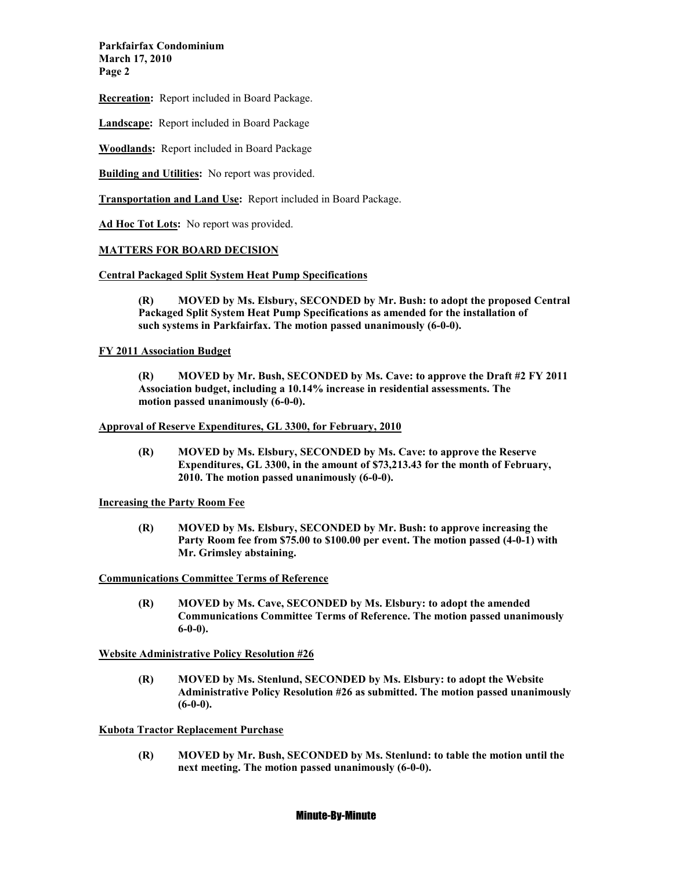**Parkfairfax Condominium March 17, 2010 Page 2** 

**Recreation:** Report included in Board Package.

**Landscape:** Report included in Board Package

**Woodlands:** Report included in Board Package

**Building and Utilities:** No report was provided.

**Transportation and Land Use:** Report included in Board Package.

**Ad Hoc Tot Lots:** No report was provided.

# **MATTERS FOR BOARD DECISIO**

**Central Packaged Split System Heat Pump Specifications**

 **(R) MOVED by Ms. Elsbury, SECODED by Mr. Bush: to adopt the proposed Central Packaged Split System Heat Pump Specifications as amended for the installation of such systems in Parkfairfax. The motion passed unanimously (6-0-0).** 

## **FY 2011 Association Budget**

 **(R) MOVED by Mr. Bush, SECODED by Ms. Cave: to approve the Draft #2 FY 2011 Association budget, including a 10.14% increase in residential assessments. The motion passed unanimously (6-0-0).** 

## **Approval of Reserve Expenditures, GL 3300, for February, 2010**

**(R) MOVED by Ms. Elsbury, SECODED by Ms. Cave: to approve the Reserve Expenditures, GL 3300, in the amount of \$73,213.43 for the month of February, 2010. The motion passed unanimously (6-0-0).** 

## **Increasing the Party Room Fee**

**(R) MOVED by Ms. Elsbury, SECODED by Mr. Bush: to approve increasing the Party Room fee from \$75.00 to \$100.00 per event. The motion passed (4-0-1) with Mr. Grimsley abstaining.** 

**Communications Committee Terms of Reference**

 **(R) MOVED by Ms. Cave, SECODED by Ms. Elsbury: to adopt the amended Communications Committee Terms of Reference. The motion passed unanimously 6-0-0).** 

**Website Administrative Policy Resolution #26**

 **(R) MOVED by Ms. Stenlund, SECODED by Ms. Elsbury: to adopt the Website Administrative Policy Resolution #26 as submitted. The motion passed unanimously (6-0-0).** 

**Kubota Tractor Replacement Purchase**

 **(R) MOVED by Mr. Bush, SECODED by Ms. Stenlund: to table the motion until the next meeting. The motion passed unanimously (6-0-0).** 

## Minute-By-Minute